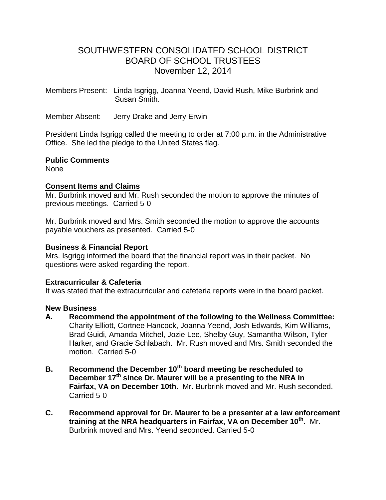# SOUTHWESTERN CONSOLIDATED SCHOOL DISTRICT BOARD OF SCHOOL TRUSTEES November 12, 2014

Members Present: Linda Isgrigg, Joanna Yeend, David Rush, Mike Burbrink and Susan Smith.

Member Absent: Jerry Drake and Jerry Erwin

President Linda Isgrigg called the meeting to order at 7:00 p.m. in the Administrative Office. She led the pledge to the United States flag.

### **Public Comments**

**None** 

### **Consent Items and Claims**

Mr. Burbrink moved and Mr. Rush seconded the motion to approve the minutes of previous meetings. Carried 5-0

Mr. Burbrink moved and Mrs. Smith seconded the motion to approve the accounts payable vouchers as presented. Carried 5-0

#### **Business & Financial Report**

Mrs. Isgrigg informed the board that the financial report was in their packet. No questions were asked regarding the report.

### **Extracurricular & Cafeteria**

It was stated that the extracurricular and cafeteria reports were in the board packet.

#### **New Business**

- **A. Recommend the appointment of the following to the Wellness Committee:** Charity Elliott, Cortnee Hancock, Joanna Yeend, Josh Edwards, Kim Williams, Brad Guidi, Amanda Mitchel, Jozie Lee, Shelby Guy, Samantha Wilson, Tyler Harker, and Gracie Schlabach. Mr. Rush moved and Mrs. Smith seconded the motion. Carried 5-0
- **B. Recommend the December 10th board meeting be rescheduled to December 17th since Dr. Maurer will be a presenting to the NRA in Fairfax, VA on December 10th.** Mr. Burbrink moved and Mr. Rush seconded. Carried 5-0
- **C. Recommend approval for Dr. Maurer to be a presenter at a law enforcement training at the NRA headquarters in Fairfax, VA on December 10th .** Mr. Burbrink moved and Mrs. Yeend seconded. Carried 5-0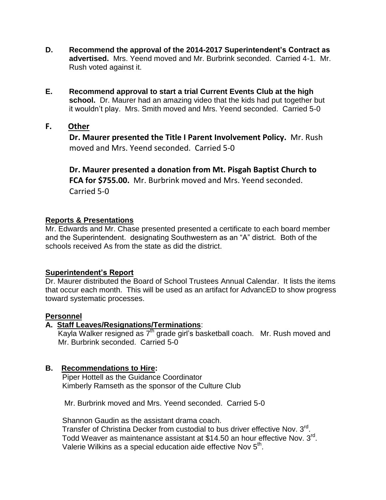- **D. Recommend the approval of the 2014-2017 Superintendent's Contract as advertised.** Mrs. Yeend moved and Mr. Burbrink seconded. Carried 4-1. Mr. Rush voted against it.
- **E. Recommend approval to start a trial Current Events Club at the high school.** Dr. Maurer had an amazing video that the kids had put together but it wouldn't play. Mrs. Smith moved and Mrs. Yeend seconded. Carried 5-0
- **F. Other**

 **Dr. Maurer presented the Title I Parent Involvement Policy.** Mr. Rush moved and Mrs. Yeend seconded. Carried 5-0

 **Dr. Maurer presented a donation from Mt. Pisgah Baptist Church to FCA for \$755.00.** Mr. Burbrink moved and Mrs. Yeend seconded. Carried 5-0

## **Reports & Presentations**

Mr. Edwards and Mr. Chase presented presented a certificate to each board member and the Superintendent. designating Southwestern as an "A" district. Both of the schools received As from the state as did the district.

# **Superintendent's Report**

Dr. Maurer distributed the Board of School Trustees Annual Calendar. It lists the items that occur each month. This will be used as an artifact for AdvancED to show progress toward systematic processes.

### **Personnel**

### **A. Staff Leaves/Resignations/Terminations**:

Kayla Walker resigned as 7<sup>th</sup> grade girl's basketball coach. Mr. Rush moved and Mr. Burbrink seconded. Carried 5-0

# **B. Recommendations to Hire:**

 Piper Hottell as the Guidance Coordinator Kimberly Ramseth as the sponsor of the Culture Club

Mr. Burbrink moved and Mrs. Yeend seconded. Carried 5-0

Shannon Gaudin as the assistant drama coach.

Transfer of Christina Decker from custodial to bus driver effective Nov. 3rd. Todd Weaver as maintenance assistant at \$14.50 an hour effective Nov. 3<sup>rd</sup>. Valerie Wilkins as a special education aide effective Nov 5<sup>th</sup>.